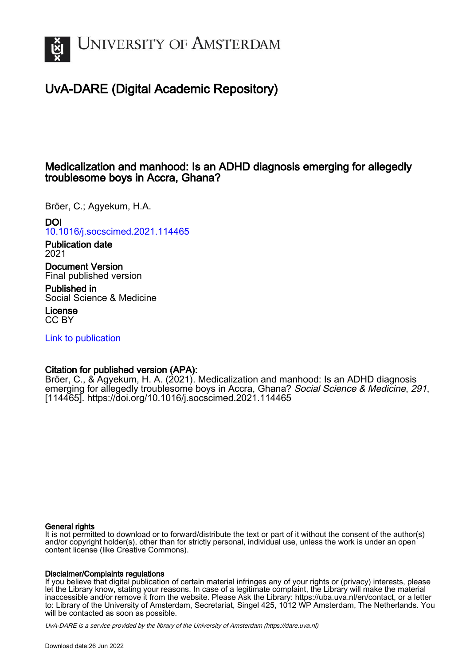

# UvA-DARE (Digital Academic Repository)

# Medicalization and manhood: Is an ADHD diagnosis emerging for allegedly troublesome boys in Accra, Ghana?

Bröer, C.; Agyekum, H.A.

# DOI

[10.1016/j.socscimed.2021.114465](https://doi.org/10.1016/j.socscimed.2021.114465)

Publication date 2021

Document Version Final published version

Published in Social Science & Medicine

License CC BY

[Link to publication](https://dare.uva.nl/personal/pure/en/publications/medicalization-and-manhood-is-an-adhd-diagnosis-emerging-for-allegedly-troublesome-boys-in-accra-ghana(7f7e393e-a9dd-4120-9ec7-989c3a730477).html)

# Citation for published version (APA):

Bröer, C., & Agyekum, H. A. (2021). Medicalization and manhood: Is an ADHD diagnosis emerging for allegedly troublesome boys in Accra, Ghana? Social Science & Medicine, 291, [114465].<https://doi.org/10.1016/j.socscimed.2021.114465>

### General rights

It is not permitted to download or to forward/distribute the text or part of it without the consent of the author(s) and/or copyright holder(s), other than for strictly personal, individual use, unless the work is under an open content license (like Creative Commons).

### Disclaimer/Complaints regulations

If you believe that digital publication of certain material infringes any of your rights or (privacy) interests, please let the Library know, stating your reasons. In case of a legitimate complaint, the Library will make the material inaccessible and/or remove it from the website. Please Ask the Library: https://uba.uva.nl/en/contact, or a letter to: Library of the University of Amsterdam, Secretariat, Singel 425, 1012 WP Amsterdam, The Netherlands. You will be contacted as soon as possible.

UvA-DARE is a service provided by the library of the University of Amsterdam (http*s*://dare.uva.nl)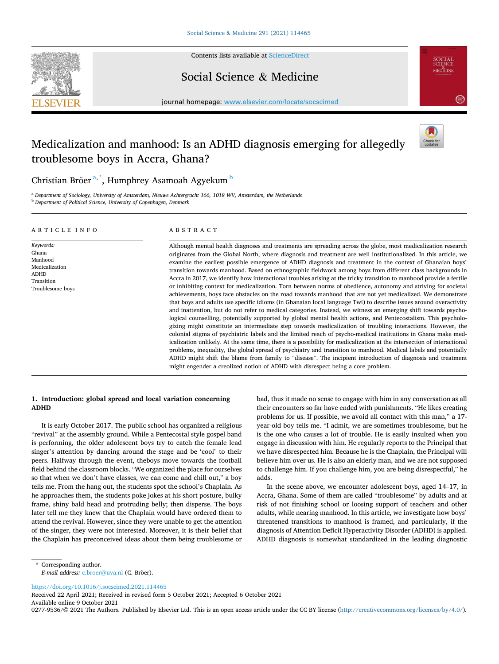

Contents lists available at [ScienceDirect](www.sciencedirect.com/science/journal/02779536)

Social Science & Medicine



journal homepage: [www.elsevier.com/locate/socscimed](https://www.elsevier.com/locate/socscimed)

# Medicalization and manhood: Is an ADHD diagnosis emerging for allegedly troublesome boys in Accra, Ghana?



## Christian Bröer®,\*, Humphrey Asamoah Agyekum  $^{\rm b}$

<sup>a</sup> *Department of Sociology, University of Amsterdam, Nieuwe Achtergracht 166, 1018 WV, Amsterdam, the Netherlands* <sup>b</sup> *Department of Political Science, University of Copenhagen, Denmark* 

#### ARTICLE INFO

*Keywords:*  Ghana Manhood Medicalization ADHD Transition Troublesome boys

ABSTRACT

Although mental health diagnoses and treatments are spreading across the globe, most medicalization research originates from the Global North, where diagnosis and treatment are well institutionalized. In this article, we examine the earliest possible emergence of ADHD diagnosis and treatment in the context of Ghanaian boys' transition towards manhood. Based on ethnographic fieldwork among boys from different class backgrounds in Accra in 2017, we identify how interactional troubles arising at the tricky transition to manhood provide a fertile or inhibiting context for medicalization. Torn between norms of obedience, autonomy and striving for societal achievements, boys face obstacles on the road towards manhood that are not yet medicalized. We demonstrate that boys and adults use specific idioms (in Ghanaian local language Twi) to describe issues around overactivity and inattention, but do not refer to medical categories. Instead, we witness an emerging shift towards psychological counselling, potentially supported by global mental health actions, and Pentecostalism. This psychologizing might constitute an intermediate step towards medicalization of troubling interactions. However, the colonial stigma of psychiatric labels and the limited reach of psycho-medical institutions in Ghana make medicalization unlikely. At the same time, there is a possibility for medicalization at the intersection of interactional problems, inequality, the global spread of psychiatry and transition to manhood. Medical labels and potentially ADHD might shift the blame from family to "disease". The incipient introduction of diagnosis and treatment might engender a creolized notion of ADHD with disrespect being a core problem.

### **1. Introduction: global spread and local variation concerning ADHD**

It is early October 2017. The public school has organized a religious "revival" at the assembly ground. While a Pentecostal style gospel band is performing, the older adolescent boys try to catch the female lead singer's attention by dancing around the stage and be 'cool' to their peers. Halfway through the event, theboys move towards the football field behind the classroom blocks. "We organized the place for ourselves so that when we don't have classes, we can come and chill out," a boy tells me. From the hang out, the students spot the school's Chaplain. As he approaches them, the students poke jokes at his short posture, bulky frame, shiny bald head and protruding belly; then disperse. The boys later tell me they knew that the Chaplain would have ordered them to attend the revival. However, since they were unable to get the attention of the singer, they were not interested. Moreover, it is their belief that the Chaplain has preconceived ideas about them being troublesome or bad, thus it made no sense to engage with him in any conversation as all their encounters so far have ended with punishments. "He likes creating problems for us. If possible, we avoid all contact with this man," a 17 year-old boy tells me. "I admit, we are sometimes troublesome, but he is the one who causes a lot of trouble. He is easily insulted when you engage in discussion with him. He regularly reports to the Principal that we have disrespected him. Because he is the Chaplain, the Principal will believe him over us. He is also an elderly man, and we are not supposed to challenge him. If you challenge him, you are being disrespectful," he adds.

In the scene above, we encounter adolescent boys, aged 14–17, in Accra, Ghana. Some of them are called "troublesome" by adults and at risk of not finishing school or loosing support of teachers and other adults, while nearing manhood. In this article, we investigate how boys' threatened transitions to manhood is framed, and particularly, if the diagnosis of Attention Deficit Hyperactivity Disorder (ADHD) is applied. ADHD diagnosis is somewhat standardized in the leading diagnostic

<https://doi.org/10.1016/j.socscimed.2021.114465>

Available online 9 October 2021 Received 22 April 2021; Received in revised form 5 October 2021; Accepted 6 October 2021

0277-9536/© 2021 The Authors. Published by Elsevier Ltd. This is an open access article under the CC BY license [\(http://creativecommons.org/licenses/by/4.0/\)](http://creativecommons.org/licenses/by/4.0/).

<sup>\*</sup> Corresponding author. *E-mail address: [c.broer@uva.nl](mailto:c.broer@uva.nl) (C. Bröer).*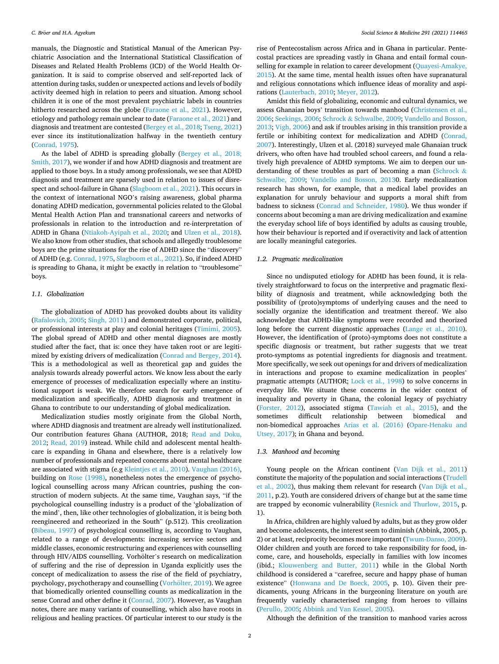manuals, the Diagnostic and Statistical Manual of the American Psychiatric Association and the International Statistical Classification of Diseases and Related Health Problems (ICD) of the World Health Organization. It is said to comprise observed and self-reported lack of attention during tasks, sudden or unexpected actions and levels of bodily activity deemed high in relation to peers and situation. Among school children it is one of the most prevalent psychiatric labels in countries hitherto researched across the globe ([Faraone et al., 2021\)](#page-8-0). However, etiology and pathology remain unclear to date [\(Faraone et al., 2021\)](#page-8-0) and diagnosis and treatment are contested [\(Bergey et al., 2018](#page-7-0); [Tseng, 2021\)](#page-8-0) ever since its institutionalization halfway in the twentieth century ([Conrad, 1975\)](#page-7-0).

As the label of ADHD is spreading globally ([Bergey et al., 2018;](#page-7-0)  [Smith, 2017](#page-7-0)), we wonder if and how ADHD diagnosis and treatment are applied to those boys. In a study among professionals, we see that ADHD diagnosis and treatment are sparsely used in relation to issues of disrespect and school-failure in Ghana [\(Slagboom et al., 2021\)](#page-8-0). This occurs in the context of international NGO's raising awareness, global pharma donating ADHD medication, governmental policies related to the Global Mental Health Action Plan and transnational careers and networks of professionals in relation to the introduction and re-interpretation of ADHD in Ghana ([Ntiakoh-Ayipah et al., 2020;](#page-8-0) and [Ulzen et al., 2018](#page-8-0)). We also know from other studies, that schools and allegedly troublesome boys are the prime situations for the rise of ADHD since the "discovery" of ADHD (e.g. [Conrad, 1975](#page-7-0), [Slagboom et al., 2021\)](#page-8-0). So, if indeed ADHD is spreading to Ghana, it might be exactly in relation to "troublesome" boys.

#### *1.1. Globalization*

The globalization of ADHD has provoked doubts about its validity ([Rafalovich, 2005; Singh, 2011\)](#page-8-0) and demonstrated corporate, political, or professional interests at play and colonial heritages [\(Timimi, 2005](#page-8-0)). The global spread of ADHD and other mental diagnoses are mostly studied after the fact, that is: once they have taken root or are legitimized by existing drivers of medicalization [\(Conrad and Bergey, 2014](#page-8-0)). This is a methodological as well as theoretical gap and guides the analysis towards already powerful actors. We know less about the early emergence of processes of medicalization especially where an institutional support is weak. We therefore search for early emergence of medicalization and specifically, ADHD diagnosis and treatment in Ghana to contribute to our understanding of global medicalization.

Medicalization studies mostly originate from the Global North, where ADHD diagnosis and treatment are already well institutionalized. Our contribution features Ghana (AUTHOR, 2018; [Read and Doku,](#page-8-0)  [2012;](#page-8-0) [Read, 2019](#page-8-0)) instead. While child and adolescent mental healthcare is expanding in Ghana and elsewhere, there is a relatively low number of professionals and repeated concerns about mental healthcare are associated with stigma (e.g [Kleintjes et al., 2010](#page-8-0)). [Vaughan \(2016\)](#page-8-0), building on [Rose \(1998\)](#page-8-0), nonetheless notes the emergence of psychological counselling across many African countries, pushing the construction of modern subjects. At the same time, Vaughan says, "if the psychological counselling industry is a product of the 'globalization of the mind', then, like other technologies of globalization, it is being both reengineered and retheorized in the South" (p.512). This creolization ([Bibeau, 1997\)](#page-7-0) of psychological counselling is, according to Vaughan, related to a range of developments: increasing service sectors and middle classes, economic restructuring and experiences with counselling through HIV/AIDS counselling. Vorhölter's research on medicalization of suffering and the rise of depression in Uganda explicitly uses the concept of medicalization to assess the rise of the field of psychiatry, psychology, psychotherapy and counselling (Vorhölter, 2019). We agree that biomedically oriented counselling counts as medicalization in the sense Conrad and other define it ([Conrad, 2007\)](#page-7-0). However, as Vaughan notes, there are many variants of counselling, which also have roots in religious and healing practices. Of particular interest to our study is the

rise of Pentecostalism across Africa and in Ghana in particular. Pentecostal practices are spreading vastly in Ghana and entail formal counselling for example in relation to career development [\(Quayesi-Amakye,](#page-8-0)  [2015\)](#page-8-0). At the same time, mental health issues often have supranatural and religious connotations which influence ideas of morality and aspirations [\(Lauterbach, 2010](#page-8-0); [Meyer, 2012\)](#page-8-0).

Amidst this field of globalizing, economic and cultural dynamics, we assess Ghanaian boys' transition towards manhood ([Christensen et al.,](#page-7-0)  [2006;](#page-7-0) [Seekings, 2006](#page-8-0); Schrock & [Schwalbe, 2009; Vandello and Bosson,](#page-8-0)  [2013; Vigh, 2006\)](#page-8-0) and ask if troubles arising in this transition provide a fertile or inhibiting context for medicalization and ADHD ([Conrad,](#page-7-0)  [2007\)](#page-7-0). Interestingly, Ulzen et al. (2018) surveyed male Ghanaian truck drivers, who often have had troubled school careers, and found a relatively high prevalence of ADHD symptoms. We aim to deepen our understanding of these troubles as part of becoming a man [\(Schrock](#page-8-0) & [Schwalbe, 2009](#page-8-0); [Vandello and Bosson, 2013](#page-8-0)0. Early medicalization research has shown, for example, that a medical label provides an explanation for unruly behaviour and supports a moral shift from badness to sickness [\(Conrad and Schneider, 1980](#page-8-0)). We thus wonder if concerns about becoming a man are driving medicalization and examine the everyday school life of boys identified by adults as causing trouble, how their behaviour is reported and if overactivity and lack of attention are locally meaningful categories.

#### *1.2. Pragmatic medicalization*

Since no undisputed etiology for ADHD has been found, it is relatively straightforward to focus on the interpretive and pragmatic flexibility of diagnosis and treatment, while acknowledging both the possibility of (proto)symptoms of underlying causes and the need to socially organize the identification and treatment thereof. We also acknowledge that ADHD-like symptoms were recorded and theorized long before the current diagnostic approaches [\(Lange et al., 2010](#page-8-0)). However, the identification of (proto)-symptoms does not constitute a specific diagnosis or treatment, but rather suggests that we treat proto-symptoms as potential ingredients for diagnosis and treatment. More specifically, we seek out openings for and drivers of medicalization in interactions and propose to examine medicalization in peoples' pragmatic attempts (AUTHOR; [Lock et al., 1998](#page-8-0)) to solve concerns in everyday life. We situate these concerns in the wider context of inequality and poverty in Ghana, the colonial legacy of psychiatry ([Forster, 2012](#page-8-0)), associated stigma ([Tawiah et al., 2015](#page-8-0)), and the sometimes difficult relationship between biomedical and non-biomedical approaches [Arias et al. \(2016\)](#page-7-0) ([Opare-Henaku and](#page-8-0)  [Utsey, 2017\)](#page-8-0); in Ghana and beyond.

### *1.3. Manhood and becoming*

Young people on the African continent [\(Van Dijk et al., 2011\)](#page-8-0) constitute the majority of the population and social interactions [\(Trudell](#page-8-0)  [et al., 2002\)](#page-8-0), thus making them relevant for research [\(Van Dijk et al.,](#page-8-0)  [2011,](#page-8-0) p.2). Youth are considered drivers of change but at the same time are trapped by economic vulnerability [\(Resnick and Thurlow, 2015](#page-8-0), p. 1).

In Africa, children are highly valued by adults, but as they grow older and become adolescents, the interest seem to diminish (Abbink, 2005, p. 2) or at least, reciprocity becomes more important [\(Twum-Danso, 2009](#page-8-0)). Older children and youth are forced to take responsibility for food, income, care, and households, especially in families with low incomes (ibid.; [Klouwenberg and Butter, 2011](#page-8-0)) while in the Global North childhood is considered a "carefree, secure and happy phase of human existence" ([Honwana and De Boeck, 2005,](#page-8-0) p. 10). Given their predicaments, young Africans in the burgeoning literature on youth are frequently variedly characterised ranging from heroes to villains ([Perullo, 2005](#page-8-0); [Abbink and Van Kessel, 2005\)](#page-7-0).

Although the definition of the transition to manhood varies across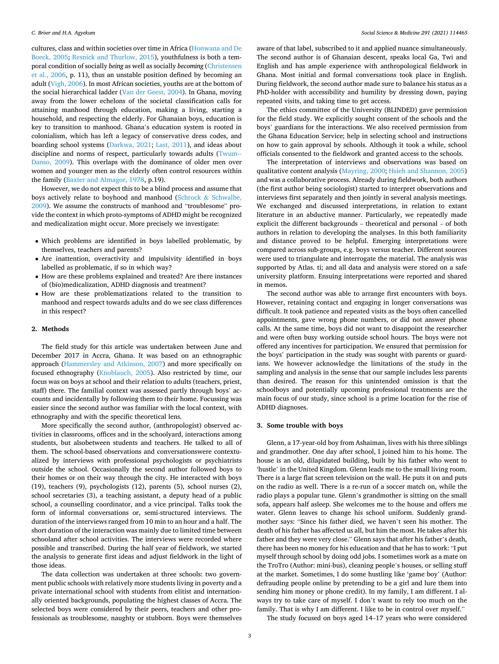cultures, class and within societies over time in Africa ([Honwana and De](#page-8-0)  [Boeck, 2005](#page-8-0); [Resnick and Thurlow, 2015](#page-8-0)), youthfulness is both a temporal condition of socially *being* as well as socially *becoming* ([Christensen](#page-7-0)  [et al., 2006,](#page-7-0) p. 11), thus an unstable position defined by becoming an adult ([Vigh, 2006\)](#page-8-0). In most African societies, youths are at the bottom of the social hierarchical ladder ([Van der Geest, 2004\)](#page-8-0). In Ghana, moving away from the lower echelons of the societal classification calls for attaining manhood through education, making a living, starting a household, and respecting the elderly. For Ghanaian boys, education is key to transition to manhood. Ghana's education system is rooted in colonialism, which has left a legacy of conservative dress codes, and boarding school systems ([Darkwa, 2021;](#page-8-0) [Last, 2011](#page-8-0)), and ideas about discipline and norms of respect, particularly towards adults [\(Twum--](#page-8-0)[Danso, 2009](#page-8-0)). This overlaps with the dominance of older men over women and younger men as the elderly often control resources within the family [\(Baxter and Almagor, 1978](#page-7-0), p.19).

However, we do not expect this to be a blind process and assume that boys actively relate to boyhood and manhood (Schrock & [Schwalbe,](#page-8-0)  [2009\)](#page-8-0). We assume the constructs of manhood and "troublesome" provide the context in which proto-symptoms of ADHD might be recognized and medicalization might occur. More precisely we investigate:

- Which problems are identified in boys labelled problematic, by themselves, teachers and parents?
- Are inattention, overactivity and impulsivity identified in boys labelled as problematic, if so in which way?
- How are these problems explained and treated? Are there instances of (bio)medicalization, ADHD diagnosis and treatment?
- How are these problematizations related to the transition to manhood and respect towards adults and do we see class differences in this respect?

#### **2. Methods**

The field study for this article was undertaken between June and December 2017 in Accra, Ghana. It was based on an ethnographic approach [\(Hammersley and Atkinson, 2007](#page-8-0)) and more specifically on focused ethnography ([Knoblauch, 2005\)](#page-8-0). Also restricted by time, our focus was on boys at school and their relation to adults (teachers, priest, staff) there. The familial context was assessed partly through boys' accounts and incidentally by following them to their home. Focussing was easier since the second author was familiar with the local context, with ethnography and with the specific theoretical lens.

More specifically the second author, (anthropologist) observed activities in classrooms, offices and in the schoolyard, interactions among students, but alsobetween students and teachers. He talked to all of them. The school-based observations and conversationswere contextualized by interviews with professional psychologists or psychiatrists outside the school. Occasionally the second author followed boys to their homes or on their way through the city. He interacted with boys (19), teachers (9), psychologists (12), parents (5), school nurses (2), school secretaries (3), a teaching assistant, a deputy head of a public school, a counselling coordinator, and a vice principal. Talks took the form of informal conversations or, semi-structured interviews. The duration of the interviews ranged from 10 min to an hour and a half. The short duration of the interaction was mainly due to limited time between schooland after school activities. The interviews were recorded where possible and transcribed. During the half year of fieldwork, we started the analysis to generate first ideas and adjust fieldwork in the light of those ideas.

The data collection was undertaken at three schools: two government public schools with relatively more students living in poverty and a private international school with students from elitist and internationally oriented backgrounds, populating the highest classes of Accra. The selected boys were considered by their peers, teachers and other professionals as troublesome, naughty or stubborn. Boys were themselves aware of that label, subscribed to it and applied nuance simultaneously. The second author is of Ghanaian descent, speaks local Ga, Twi and English and has ample experience with anthropological fieldwork in Ghana. Most initial and formal conversations took place in English. During fieldwork, the second author made sure to balance his status as a PhD-holder with accessibility and humility by dressing down, paying repeated visits, and taking time to get access.

The ethics committee of the University (BLINDED) gave permission for the field study. We explicitly sought consent of the schools and the boys' guardians for the interactions. We also received permission from the Ghana Education Service; help in selecting school and instructions on how to gain approval by schools. Although it took a while, school officials consented to the fieldwork and granted access to the schools.

The interpretation of interviews and observations was based on qualitative content analysis [\(Mayring, 2000; Hsieh and Shannon, 2005\)](#page-8-0) and was a collaborative process. Already during fieldwork, both authors (the first author being sociologist) started to interpret observations and interviews first separately and then jointly in several analysis meetings. We exchanged and discussed interpretations, in relation to extant literature in an abductive manner. Particularly, we repeatedly made explicit the different backgrounds – theoretical and personal – of both authors in relation to developing the analyses. In this both familiarity and distance proved to be helpful. Emerging interpretations were compared across sub-groups, e.g. boys versus teacher. Different sources were used to triangulate and interrogate the material. The analysis was supported by Atlas. ti; and all data and analysis were stored on a safe university platform. Ensuing interpretations were reported and shared in memos.

The second author was able to arrange first encounters with boys. However, retaining contact and engaging in longer conversations was difficult. It took patience and repeated visits as the boys often cancelled appointments, gave wrong phone numbers, or did not answer phone calls. At the same time, boys did not want to disappoint the researcher and were often busy working outside school hours. The boys were not offered any incentives for participation. We ensured that permission for the boys' participation in the study was sought with parents or guardians. We however acknowledge the limitations of the study in the sampling and analysis in the sense that our sample includes less parents than desired. The reason for this unintended omission is that the schoolboys and potentially upcoming professional treatments are the main focus of our study, since school is a prime location for the rise of ADHD diagnoses.

#### **3. Some trouble with boys**

Glenn, a 17-year-old boy from Ashaiman, lives with his three siblings and grandmother. One day after school, I joined him to his home. The house is an old, dilapidated building, built by his father who went to 'hustle' in the United Kingdom. Glenn leads me to the small living room. There is a large flat screen television on the wall. He puts it on and puts on the radio as well. There is a re-run of a soccer match on, while the radio plays a popular tune. Glenn's grandmother is sitting on the small sofa, appears half asleep. She welcomes me to the house and offers me water. Glenn leaves to change his school uniform. Suddenly grandmother says: "Since his father died, we haven't seen his mother. The death of his father has affected us all, but him the most. He takes after his father and they were very close." Glenn says that after his father's death, there has been no money for his education and that he has to work: "I put myself through school by doing odd jobs. I sometimes work as a mate on the TroTro (Author: mini-bus), cleaning people's houses, or selling stuff at the market. Sometimes, I do some hustling like 'game boy' (Author: defrauding people online by pretending to be a girl and lure them into sending him money or phone credit). In my family, I am different. I always try to take care of myself. I don't want to rely too much on the family. That is why I am different. I like to be in control over myself."

The study focused on boys aged 14–17 years who were considered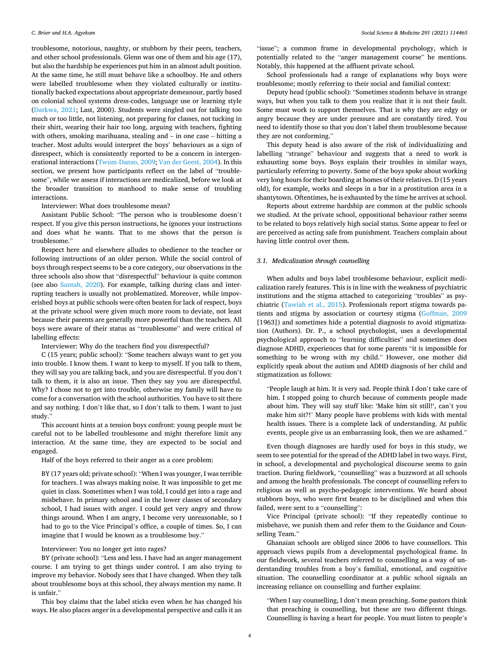troublesome, notorious, naughty, or stubborn by their peers, teachers, and other school professionals. Glenn was one of them and his age (17), but also the hardship he experiences put him in an almost adult position. At the same time, he still must behave like a schoolboy. He and others were labelled troublesome when they violated culturally or institutionally backed expectations about appropriate demeanour, partly based on colonial school systems dress-codes, language use or learning style ([Darkwa, 2021;](#page-8-0) Last, 2000). Students were singled out for talking too much or too little, not listening, not preparing for classes, not tucking in their shirt, wearing their hair too long, arguing with teachers, fighting with others, smoking marihuana, stealing and – in one case – hitting a teacher. Most adults would interpret the boys' behaviours as a sign of disrespect, which is consistently reported to be a concern in intergenerational interactions [\(Twum-Danso, 2009; Van der Geest, 2004\)](#page-8-0). In this section, we present how participants reflect on the label of "troublesome", while we assess if interactions are medicalized, before we look at the broader transition to manhood to make sense of troubling interactions.

Interviewer: What does troublesome mean?

Assistant Public School: "The person who is troublesome doesn't respect. If you give this person instructions, he ignores your instructions and does what he wants. That to me shows that the person is troublesome."

Respect here and elsewhere alludes to obedience to the teacher or following instructions of an older person. While the social control of boys through respect seems to be a core category, our observations in the three schools also show that "disrespectful" behaviour is quite common (see also [Santah, 2020\)](#page-8-0). For example, talking during class and interrupting teachers is usually not problematized. Moreover, while impoverished boys at public schools were often beaten for lack of respect, boys at the private school were given much more room to deviate, not least because their parents are generally more powerful than the teachers. All boys were aware of their status as "troublesome" and were critical of labelling effects:

Interviewer: Why do the teachers find you disrespectful?

C (15 years; public school): "Some teachers always want to get you into trouble. I know them. I want to keep to myself. If you talk to them, they will say you are talking back, and you are disrespectful. If you don't talk to them, it is also an issue. Then they say you are disrespectful. Why? I chose not to get into trouble, otherwise my family will have to come for a conversation with the school authorities. You have to sit there and say nothing. I don't like that, so I don't talk to them. I want to just study."

This account hints at a tension boys confront: young people must be careful not to be labelled troublesome and might therefore limit any interaction. At the same time, they are expected to be social and engaged.

Half of the boys referred to their anger as a core problem:

BY (17 years old; private school): "When I was younger, I was terrible for teachers. I was always making noise. It was impossible to get me quiet in class. Sometimes when I was told, I could get into a rage and misbehave. In primary school and in the lower classes of secondary school, I had issues with anger. I could get very angry and throw things around. When I am angry, I become very unreasonable, so I had to go to the Vice Principal's office, a couple of times. So, I can imagine that I would be known as a troublesome boy."

#### Interviewer: You no longer get into rages?

BY (private school): "Less and less. I have had an anger management course. I am trying to get things under control. I am also trying to improve my behavior. Nobody sees that I have changed. When they talk about troublesome boys at this school, they always mention my name. It is unfair."

This boy claims that the label sticks even when he has changed his ways. He also places anger in a developmental perspective and calls it an

"issue"; a common frame in developmental psychology, which is potentially related to the "anger management course" he mentions. Notably, this happened at the affluent private school.

School professionals had a range of explanations why boys were troublesome; mostly referring to their social and familial context:

Deputy head (public school): "Sometimes students behave in strange ways, but when you talk to them you realize that it is not their fault. Some must work to support themselves. That is why they are edgy or angry because they are under pressure and are constantly tired. You need to identify those so that you don't label them troublesome because they are not conforming."

This deputy head is also aware of the risk of individualizing and labelling "strange" behaviour and suggests that a need to work is exhausting some boys. Boys explain their troubles in similar ways, particularly referring to poverty. Some of the boys spoke about working very long hours for their boarding at homes of their relatives. D (15 years old), for example, works and sleeps in a bar in a prostitution area in a shantytown. Oftentimes, he is exhausted by the time he arrives at school.

Reports about extreme hardship are common at the public schools we studied. At the private school, oppositional behaviour rather seems to be related to boys relatively high social status. Some appear to feel or are perceived as acting safe from punishment. Teachers complain about having little control over them.

#### *3.1. Medicalization through counselling*

When adults and boys label troublesome behaviour, explicit medicalization rarely features. This is in line with the weakness of psychiatric institutions and the stigma attached to categorizing "troubles" as psychiatric [\(Tawiah et al., 2015\)](#page-8-0). Professionals report stigma towards patients and stigma by association or courtesy stigma [\(Goffman, 2009](#page-8-0)  [1963]) and sometimes hide a potential diagnosis to avoid stigmatization (Authors). Dr. P., a school psychologist, uses a developmental psychological approach to "learning difficulties" and sometimes does diagnose ADHD, experiences that for some parents "it is impossible for something to be wrong with my child." However, one mother did explicitly speak about the autism and ADHD diagnosis of her child and stigmatization as follows:

"People laugh at him. It is very sad. People think I don't take care of him. I stopped going to church because of comments people made about him. They will say stuff like: 'Make him sit still!', can't you make him sit?!' Many people have problems with kids with mental health issues. There is a complete lack of understanding. At public events, people give us an embarrassing look, then we are ashamed."

Even though diagnoses are hardly used for boys in this study, we seem to see potential for the spread of the ADHD label in two ways. First, in school, a developmental and psychological discourse seems to gain traction. During fieldwork, "counselling" was a buzzword at all schools and among the health professionals. The concept of counselling refers to religious as well as psycho-pedagogic interventions. We heard about stubborn boys, who were first beaten to be disciplined and when this failed, were sent to a "counselling":

Vice Principal (private school): "If they repeatedly continue to misbehave, we punish them and refer them to the Guidance and Counselling Team."

Ghanaian schools are obliged since 2006 to have counsellors. This approach views pupils from a developmental psychological frame. In our fieldwork, several teachers referred to counselling as a way of understanding troubles from a boy's familial, emotional, and cognitive situation. The counselling coordinator at a public school signals an increasing reliance on counselling and further explains:

"When I say counselling, I don't mean preaching. Some pastors think that preaching is counselling, but these are two different things. Counselling is having a heart for people. You must listen to people's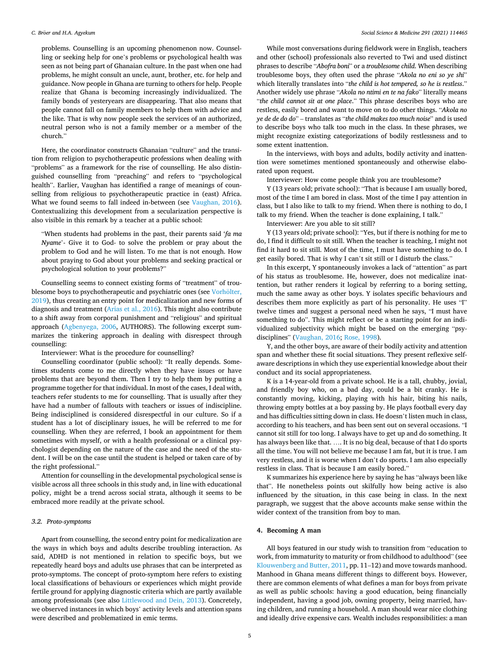problems. Counselling is an upcoming phenomenon now. Counselling or seeking help for one's problems or psychological health was seen as not being part of Ghanaian culture. In the past when one had problems, he might consult an uncle, aunt, brother, etc. for help and guidance. Now people in Ghana are turning to others for help. People realize that Ghana is becoming increasingly individualized. The family bonds of yesteryears are disappearing. That also means that people cannot fall on family members to help them with advice and the like. That is why now people seek the services of an authorized, neutral person who is not a family member or a member of the church."

Here, the coordinator constructs Ghanaian "culture" and the transition from religion to psychotherapeutic professions when dealing with "problems" as a framework for the rise of counselling. He also distinguished counselling from "preaching" and refers to "psychological health". Earlier, Vaughan has identified a range of meanings of counselling from religious to psychotherapeutic practice in (east) Africa. What we found seems to fall indeed in-between (see [Vaughan, 2016](#page-8-0)). Contextualizing this development from a secularization perspective is also visible in this remark by a teacher at a public school:

"When students had problems in the past, their parents said '*fa ma Nyame*'- Give it to God- to solve the problem or pray about the problem to God and he will listen. To me that is not enough. How about praying to God about your problems and seeking practical or psychological solution to your problems?"

Counselling seems to connect existing forms of "treatment" of troublesome boys to psychotherapeutic and psychiatric ones (see Vorhölter, [2019\)](#page-8-0), thus creating an entry point for medicalization and new forms of diagnosis and treatment ([Arias et al., 2016](#page-7-0)). This might also contribute to a shift away from corporal punishment and "religious" and spiritual approach ([Agbenyega, 2006,](#page-7-0) AUTHORS). The following excerpt summarizes the tinkering approach in dealing with disrespect through counselling:

Interviewer: What is the procedure for counselling?

Counselling coordinator (public school): "It really depends. Sometimes students come to me directly when they have issues or have problems that are beyond them. Then I try to help them by putting a programme together for that individual. In most of the cases, I deal with, teachers refer students to me for counselling. That is usually after they have had a number of fallouts with teachers or issues of indiscipline. Being indisciplined is considered disrespectful in our culture. So if a student has a lot of disciplinary issues, he will be referred to me for counselling. When they are referred, I book an appointment for them sometimes with myself, or with a health professional or a clinical psychologist depending on the nature of the case and the need of the student. I will be on the case until the student is helped or taken care of by the right professional."

Attention for counselling in the developmental psychological sense is visible across all three schools in this study and, in line with educational policy, might be a trend across social strata, although it seems to be embraced more readily at the private school.

#### *3.2. Proto-symptoms*

Apart from counselling, the second entry point for medicalization are the ways in which boys and adults describe troubling interaction. As said, ADHD is not mentioned in relation to specific boys, but we repeatedly heard boys and adults use phrases that can be interpreted as proto-symptoms. The concept of proto-symptom here refers to existing local classifications of behaviours or experiences which might provide fertile ground for applying diagnostic criteria which are partly available among professionals (see also [Littlewood and Dein, 2013\)](#page-8-0). Concretely, we observed instances in which boys' activity levels and attention spans were described and problematized in emic terms.

While most conversations during fieldwork were in English, teachers and other (school) professionals also reverted to Twi and used distinct phrases to describe "*Abofra boni*" or a *troublesome child*. When describing troublesome boys, they often used the phrase "*Akola no eni so ye shi*" which literally translates into "*the child is hot tempered, so he is restless*." Another widely use phrase "*Akola no ntimi en te na fako*" literally means "*the child cannot sit at one place*." This phrase describes boys who are restless, easily bored and want to move on to do other things. "*Akola no ye de de do do*" – translates as "*the child makes too much noise*" and is used to describe boys who talk too much in the class. In these phrases, we might recognize existing categorizations of bodily restlessness and to some extent inattention.

In the interviews, with boys and adults, bodily activity and inattention were sometimes mentioned spontaneously and otherwise elaborated upon request.

Interviewer: How come people think you are troublesome?

Y (13 years old; private school): "That is because I am usually bored, most of the time I am bored in class. Most of the time I pay attention in class, but I also like to talk to my friend. When there is nothing to do, I talk to my friend. When the teacher is done explaining, I talk."

Interviewer: Are you able to sit still?

Y (13 years old; private school): "Yes, but if there is nothing for me to do, I find it difficult to sit still. When the teacher is teaching, I might not find it hard to sit still. Most of the time, I must have something to do. I get easily bored. That is why I can't sit still or I disturb the class."

In this excerpt, Y spontaneously invokes a lack of "attention" as part of his status as troublesome. He, however, does not medicalize inattention, but rather renders it logical by referring to a boring setting, much the same away as other boys. Y isolates specific behaviours and describes them more explicitly as part of his personality. He uses "I" twelve times and suggest a personal need when he says, "I must have something to do". This might reflect or be a starting point for an individualized subjectivity which might be based on the emerging "psydisciplines" ([Vaughan, 2016](#page-8-0); [Rose, 1998](#page-8-0)).

Y, and the other boys, are aware of their bodily activity and attention span and whether these fit social situations. They present reflexive selfaware descriptions in which they use experiential knowledge about their conduct and its social appropriateness.

K is a 14-year-old from a private school. He is a tall, chubby, jovial, and friendly boy who, on a bad day, could be a bit cranky. He is constantly moving, kicking, playing with his hair, biting his nails, throwing empty bottles at a boy passing by. He plays football every day and has difficulties sitting down in class. He doesn't listen much in class, according to his teachers, and has been sent out on several occasions. "I cannot sit still for too long. I always have to get up and do something. It has always been like that. …. It is no big deal, because of that I do sports all the time. You will not believe me because I am fat, but it is true. I am very restless, and it is worse when I don't do sports. I am also especially restless in class. That is because I am easily bored."

K summarizes his experience here by saying he has "always been like that". He nonetheless points out skilfully how being active is also influenced by the situation, in this case being in class. In the next paragraph, we suggest that the above accounts make sense within the wider context of the transition from boy to man.

#### **4. Becoming A man**

All boys featured in our study wish to transition from "education to work, from immaturity to maturity or from childhood to adulthood" (see [Klouwenberg and Butter, 2011](#page-8-0), pp. 11–12) and move towards manhood. Manhood in Ghana means different things to different boys. However, there are common elements of what defines a man for boys from private as well as public schools: having a good education, being financially independent, having a good job, owning property, being married, having children, and running a household. A man should wear nice clothing and ideally drive expensive cars. Wealth includes responsibilities: a man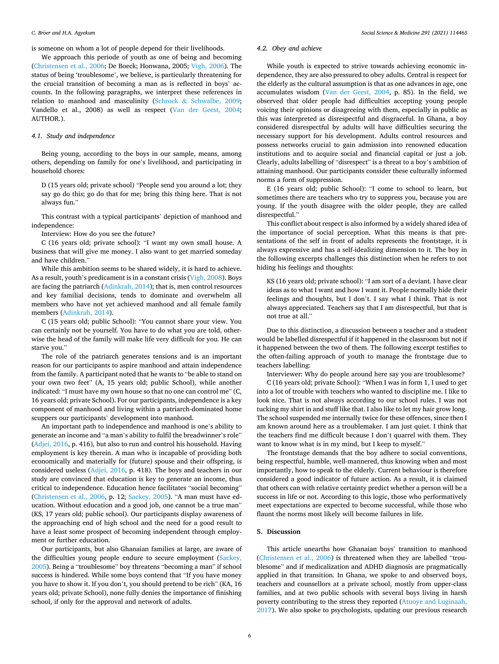is someone on whom a lot of people depend for their livelihoods.

We approach this periode of youth as one of being and becoming ([Christensen et al., 2006;](#page-7-0) De Boeck; Honwana, 2005; [Vigh, 2006\)](#page-8-0). The status of being 'troublesome', we believe, is particularly threatening for the crucial transition of becoming a man as is reflected in boys' accounts. In the following paragraphs, we interpret these references in relation to manhood and masculinity (Schrock & [Schwalbe, 2009](#page-8-0); Vandello et al., 2008) as well as respect [\(Van der Geest, 2004](#page-8-0); AUTHOR.).

#### *4.1. Study and independence*

Being young, according to the boys in our sample, means, among others, depending on family for one's livelihood, and participating in household chores:

D (15 years old; private school) "People send you around a lot; they say go do this; go do that for me; bring this thing here. That is not always fun."

This contrast with a typical participants' depiction of manhood and independence:

Interview: How do you see the future?

C (16 years old; private school): "I want my own small house. A business that will give me money. I also want to get married someday and have children."

While this ambition seems to be shared widely, it is hard to achieve. As a result, youth's predicament is in a constant crisis ([Vigh, 2008](#page-8-0)). Boys are facing the patriarch [\(Adinkrah, 2014\)](#page-7-0); that is, men control resources and key familial decisions, tends to dominate and overwhelm all members who have not yet achieved manhood and all female family members [\(Adinkrah, 2014](#page-7-0)).

C (15 years old; public School): "You cannot share your view. You can certainly not be yourself. You have to do what you are told, otherwise the head of the family will make life very difficult for you. He can starve you."

The role of the patriarch generates tensions and is an important reason for our participants to aspire manhood and attain independence from the family. A participant noted that he wants to "be able to stand on your own two feet" (A, 15 years old; public School), while another indicated: "I must have my own house so that no one can control me" (C, 16 years old; private School). For our participants, independence is a key component of manhood and living within a patriarch-dominated home scuppers our participants' development into manhood.

An important path to independence and manhood is one's ability to generate an income and "a man's ability to fulfil the breadwinner's role" ([Adjei, 2016](#page-7-0), p. 416), but also to run and control his household. Having employment is key therein. A man who is incapable of providing both economically and materially for (future) spouse and their offspring, is considered useless [\(Adjei, 2016](#page-7-0), p. 418). The boys and teachers in our study are convinced that education is key to generate an income, thus critical to independence. Education hence facilitates "social becoming" ([Christensen et al., 2006](#page-7-0), p. 12; [Sackey, 2005\)](#page-8-0). "A man must have education. Without education and a good job, one cannot be a true man" (KS, 17 years old; public school). Our participants display awareness of the approaching end of high school and the need for a good result to have a least some prospect of becoming independent through employment or further education.

Our participants, but also Ghanaian families at large, are aware of the difficulties young people endure to secure employment [\(Sackey,](#page-8-0)  [2005\)](#page-8-0). Being a "troublesome" boy threatens "becoming a man" if school success is hindered. While some boys contend that "If you have money you have to show it. If you don't, you should pretend to be rich" (KA, 16 years old; private School), none fully denies the importance of finishing school, if only for the approval and network of adults.

#### *4.2. Obey and achieve*

While youth is expected to strive towards achieving economic independence, they are also pressured to obey adults. Central is respect for the elderly as the cultural assumption is that as one advances in age, one accumulates wisdom [\(Van der Geest, 2004,](#page-8-0) p. 85). In the field, we observed that older people had difficulties accepting young people voicing their opinions or disagreeing with them, especially in public as this was interpreted as disrespectful and disgraceful. In Ghana, a boy considered disrespectful by adults will have difficulties securing the necessary support for his development. Adults control resources and possess networks crucial to gain admission into renowned education institutions and to acquire social and financial capital or just a job. Clearly, adults labelling of "disrespect" is a threat to a boy's ambition of attaining manhood. Our participants consider these culturally informed norms a form of suppression.

E (16 years old; public School): "I come to school to learn, but sometimes there are teachers who try to suppress you, because you are young. If the youth disagree with the older people, they are called disrespectful."

This conflict about respect is also informed by a widely shared idea of the importance of social perception. What this means is that presentations of the self in front of adults represents the frontstage, it is always expressive and has a self-idealizing dimension to it. The boy in the following excerpts challenges this distinction when he refers to not hiding his feelings and thoughts:

KS (16 years old; private school): "I am sort of a deviant. I have clear ideas as to what I want and how I want it. People normally hide their feelings and thoughts, but I don't. I say what I think. That is not always appreciated. Teachers say that I am disrespectful, but that is not true at all."

Due to this distinction, a discussion between a teacher and a student would be labelled disrespectful if it happened in the classroom but not if it happened between the two of them. The following excerpt testifies to the often-failing approach of youth to manage the frontstage due to teachers labelling:

Interviewer: Why do people around here say you are troublesome? C (16 years old; private School): "When I was in form 1, I used to get into a lot of trouble with teachers who wanted to discipline me. I like to look nice. That is not always according to our school rules. I was not tucking my shirt in and stuff like that. I also like to let my hair grow long. The school suspended me internally twice for these offences, since then I am known around here as a troublemaker. I am just quiet. I think that the teachers find me difficult because I don't quarrel with them. They want to know what is in my mind, but I keep to myself."

The frontstage demands that the boy adhere to social conventions, being respectful, humble, well-mannered, thus knowing when and most importantly, how to speak to the elderly. Current behaviour is therefore considered a good indicator of future action. As a result, it is claimed that others can with relative certainty predict whether a person will be a success in life or not. According to this logic, those who performatively meet expectations are expected to become successful, while those who flaunt the norms most likely will become failures in life.

#### **5. Discussion**

This article unearths how Ghanaian boys' transition to manhood ([Christensen et al., 2006](#page-7-0)) is threatened when they are labelled "troublesome" and if medicalization and ADHD diagnosis are pragmatically applied in that transition. In Ghana, we spoke to and observed boys, teachers and counsellors at a private school, mostly from upper-class families, and at two public schools with several boys living in harsh poverty contributing to the stress they reported ([Atuoye and Luginaah,](#page-7-0)  [2017\)](#page-7-0). We also spoke to psychologists, updating our previous research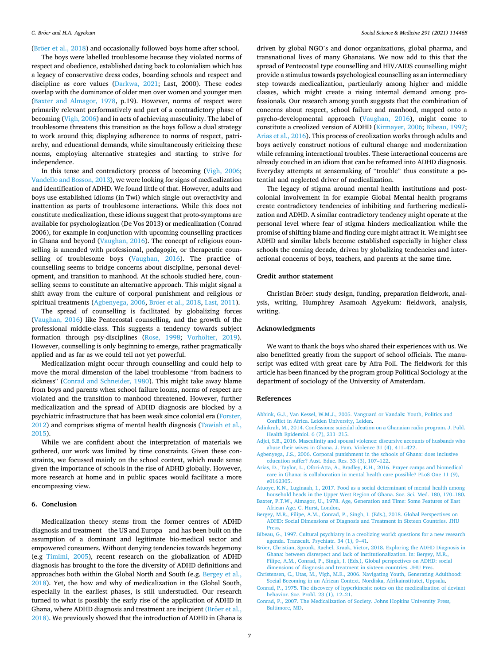<span id="page-7-0"></span>(Bröer et al.,  $2018$ ) and occasionally followed boys home after school.

The boys were labelled troublesome because they violated norms of respect and obedience, established dating back to colonialism which has a legacy of conservative dress codes, boarding schools and respect and discipline as core values [\(Darkwa, 2021;](#page-8-0) Last, 2000). These codes overlap with the dominance of older men over women and younger men (Baxter and Almagor, 1978, p.19). However, norms of respect were primarily relevant performatively and part of a contradictory phase of becoming ([Vigh, 2006](#page-8-0)) and in acts of achieving masculinity. The label of troublesome threatens this transition as the boys follow a dual strategy to work around this; displaying adherence to norms of respect, patriarchy, and educational demands, while simultaneously criticizing these norms, employing alternative strategies and starting to strive for independence.

In this tense and contradictory process of becoming [\(Vigh, 2006](#page-8-0); [Vandello and Bosson, 2013\)](#page-8-0), we were looking for signs of medicalization and identification of ADHD. We found little of that. However, adults and boys use established idioms (in Twi) which single out overactivity and inattention as parts of troublesome interactions. While this does not constitute medicalization, these idioms suggest that proto-symptoms are available for psychologization (De Vos 2013) or medicalization (Conrad 2006), for example in conjunction with upcoming counselling practices in Ghana and beyond [\(Vaughan, 2016](#page-8-0)). The concept of religious counselling is amended with professional, pedagogic, or therapeutic counselling of troublesome boys ([Vaughan, 2016](#page-8-0)). The practice of counselling seems to bridge concerns about discipline, personal development, and transition to manhood. At the schools studied here, counselling seems to constitute an alternative approach. This might signal a shift away from the culture of corporal punishment and religious or spiritual treatments (Agbenyega, 2006, Bröer et al., 2018, [Last, 2011](#page-8-0)).

The spread of counselling is facilitated by globalizing forces ([Vaughan, 2016](#page-8-0)) like Pentecostal counselling, and the growth of the professional middle-class. This suggests a tendency towards subject formation through psy-disciplines ([Rose, 1998](#page-8-0); Vorhölter, 2019). However, counselling is only beginning to emerge, rather pragmatically applied and as far as we could tell not yet powerful.

Medicalization might occur through counselling and could help to move the moral dimension of the label troublesome "from badness to sickness" [\(Conrad and Schneider, 1980\)](#page-8-0). This might take away blame from boys and parents when school failure looms, norms of respect are violated and the transition to manhood threatened. However, further medicalization and the spread of ADHD diagnosis are blocked by a psychiatric infrastructure that has been weak since colonial era ([Forster,](#page-8-0)  [2012\)](#page-8-0) and comprises stigma of mental health diagnosis ([Tawiah et al.,](#page-8-0)  [2015\)](#page-8-0).

While we are confident about the interpretation of materials we gathered, our work was limited by time constraints. Given these constraints, we focussed mainly on the school context, which made sense given the importance of schools in the rise of ADHD globally. However, more research at home and in public spaces would facilitate a more encompassing view.

#### **6. Conclusion**

Medicalization theory stems from the former centres of ADHD diagnosis and treatment – the US and Europa – and has been built on the assumption of a dominant and legitimate bio-medical sector and empowered consumers. Without denying tendencies towards hegemony (e.g [Timimi, 2005\)](#page-8-0), recent research on the globalization of ADHD diagnosis has brought to the fore the diversity of ADHD definitions and approaches both within the Global North and South (e.g. Bergey et al., 2018). Yet, the how and why of medicalization in the Global South, especially in the earliest phases, is still understudied. Our research turned to what is possibly the early rise of the application of ADHD in Ghana, where ADHD diagnosis and treatment are incipient (Bröer et al., 2018). We previously showed that the introduction of ADHD in Ghana is

driven by global NGO's and donor organizations, global pharma, and transnational lives of many Ghanaians. We now add to this that the spread of Pentecostal type counselling and HIV/AIDS counselling might provide a stimulus towards psychological counselling as an intermediary step towards medicalization, particularly among higher and middle classes, which might create a rising internal demand among professionals. Our research among youth suggests that the combination of concerns about respect, school failure and manhood, mapped onto a psycho-developmental approach [\(Vaughan, 2016](#page-8-0)), might come to constitute a creolized version of ADHD [\(Kirmayer, 2006](#page-8-0); Bibeau, 1997; Arias et al., 2016). This process of creolization works through adults and boys actively construct notions of cultural change and modernization while reframing interactional troubles. These interactional concerns are already couched in an idiom that can be reframed into ADHD diagnosis. Everyday attempts at sensemaking of "trouble" thus constitute a potential and neglected driver of medicalization.

The legacy of stigma around mental health institutions and postcolonial involvement in for example Global Mental health programs create contradictory tendencies of inhibiting and furthering medicalization and ADHD. A similar contradictory tendency might operate at the personal level where fear of stigma hinders medicalization while the promise of shifting blame and finding cure might attract it. We might see ADHD and similar labels become established especially in higher class schools the coming decade, driven by globalizing tendencies and interactional concerns of boys, teachers, and parents at the same time.

#### **Credit author statement**

Christian Bröer: study design, funding, preparation fieldwork, analysis, writing, Humphrey Asamoah Agyekum: fieldwork, analysis, writing.

#### **Acknowledgments**

We want to thank the boys who shared their experiences with us. We also benefitted greatly from the support of school officials. The manuscript was edited with great care by Afra Foli. The fieldwork for this article has been financed by the program group Political Sociology at the department of sociology of the University of Amsterdam.

#### **References**

- [Abbink, G.J., Van Kessel, W.M.J., 2005. Vanguard or Vandals: Youth, Politics and](http://refhub.elsevier.com/S0277-9536(21)00797-8/sref1) [Conflict in Africa. Leiden University, Leiden](http://refhub.elsevier.com/S0277-9536(21)00797-8/sref1).
- [Adinkrah, M., 2014. Confessions: suicidal ideation on a Ghanaian radio program. J. Publ.](http://refhub.elsevier.com/S0277-9536(21)00797-8/sref2)  [Health Epidemiol. 6 \(7\), 211](http://refhub.elsevier.com/S0277-9536(21)00797-8/sref2)–215.
- [Adjei, S.B., 2016. Masculinity and spousal violence: discursive accounts of husbands who](http://refhub.elsevier.com/S0277-9536(21)00797-8/sref3)  [abuse their wives in Ghana. J. Fam. Violence 31 \(4\), 411](http://refhub.elsevier.com/S0277-9536(21)00797-8/sref3)–422.
- [Agbenyega, J.S., 2006. Corporal punishment in the schools of Ghana: does inclusive](http://refhub.elsevier.com/S0277-9536(21)00797-8/sref4)  [education suffer? Aust. Educ. Res. 33 \(3\), 107](http://refhub.elsevier.com/S0277-9536(21)00797-8/sref4)–122.
- [Arias, D., Taylor, L., Ofori-Atta, A., Bradley, E.H., 2016. Prayer camps and biomedical](http://refhub.elsevier.com/S0277-9536(21)00797-8/sref5)  [care in Ghana: is collaboration in mental health care possible? PLoS One 11 \(9\),](http://refhub.elsevier.com/S0277-9536(21)00797-8/sref5) [e0162305.](http://refhub.elsevier.com/S0277-9536(21)00797-8/sref5)
- [Atuoye, K.N., Luginaah, I., 2017. Food as a social determinant of mental health among](http://refhub.elsevier.com/S0277-9536(21)00797-8/sref6) [household heads in the Upper West Region of Ghana. Soc. Sci. Med. 180, 170](http://refhub.elsevier.com/S0277-9536(21)00797-8/sref6)–180.
- [Baxter, P.T.W., Almagor, U., 1978. Age, Generation and Time: Some Features of East](http://refhub.elsevier.com/S0277-9536(21)00797-8/sref7) [African Age. C. Hurst, London.](http://refhub.elsevier.com/S0277-9536(21)00797-8/sref7)
- [Bergey, M.R., Filipe, A.M., Conrad, P., Singh, I. \(Eds.\), 2018. Global Perspectives on](http://refhub.elsevier.com/S0277-9536(21)00797-8/sref8)  [ADHD: Social Dimensions of Diagnosis and Treatment in Sixteen Countries. JHU](http://refhub.elsevier.com/S0277-9536(21)00797-8/sref8) **Press**
- [Bibeau, G., 1997. Cultural psychiatry in a creolizing world: questions for a new research](http://refhub.elsevier.com/S0277-9536(21)00797-8/sref9)  [agenda. Transcult. Psychiatr. 34 \(1\), 9](http://refhub.elsevier.com/S0277-9536(21)00797-8/sref9)–41.

Bröer, Christian, Spronk, Rachel, Kraak, Victor, 2018. Exploring the ADHD Diagnosis in [Ghana: between disrespect and lack of institutionalization. In: Bergey, M.R.,](http://refhub.elsevier.com/S0277-9536(21)00797-8/opthxTNhbloZb)  [Filipe, A.M., Conrad, P., Singh, I. \(Eds.\), Global perspectives on ADHD: social](http://refhub.elsevier.com/S0277-9536(21)00797-8/opthxTNhbloZb)  [dimensions of diagnosis and treatment in sixteen countries. JHU Pres](http://refhub.elsevier.com/S0277-9536(21)00797-8/opthxTNhbloZb).

- [Christensen, C., Utas, M., Vigh, M.E., 2006. Navigating Youth, Generating Adulthood:](http://refhub.elsevier.com/S0277-9536(21)00797-8/sref10) [Social Becoming in an African Context. Nordiska, Afrikainstitutet, Uppsala](http://refhub.elsevier.com/S0277-9536(21)00797-8/sref10).
- [Conrad, P., 1975. The discovery of hyperkinesis: notes on the medicalization of deviant](http://refhub.elsevier.com/S0277-9536(21)00797-8/sref11)  [behavior. Soc. Probl. 23 \(1\), 12](http://refhub.elsevier.com/S0277-9536(21)00797-8/sref11)–21.
- [Conrad, P., 2007. The Medicalization of Society. Johns Hopkins University Press,](http://refhub.elsevier.com/S0277-9536(21)00797-8/sref12) [Baltimore, MD](http://refhub.elsevier.com/S0277-9536(21)00797-8/sref12).